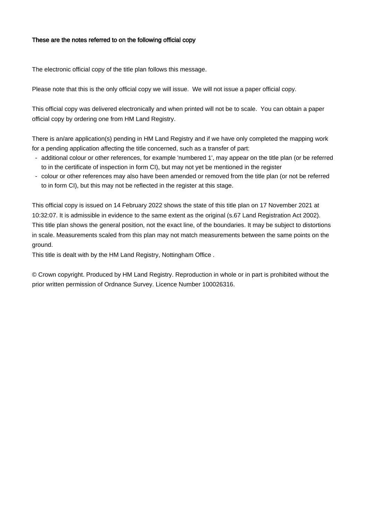## These are the notes referred to on the following official copy

The electronic official copy of the title plan follows this message.

Please note that this is the only official copy we will issue. We will not issue a paper official copy.

This official copy was delivered electronically and when printed will not be to scale. You can obtain a paper official copy by ordering one from HM Land Registry.

There is an/are application(s) pending in HM Land Registry and if we have only completed the mapping work for a pending application affecting the title concerned, such as a transfer of part:

- additional colour or other references, for example 'numbered 1', may appear on the title plan (or be referred to in the certificate of inspection in form CI), but may not yet be mentioned in the register
- colour or other references may also have been amended or removed from the title plan (or not be referred to in form CI), but this may not be reflected in the register at this stage.

This official copy is issued on 14 February 2022 shows the state of this title plan on 17 November 2021 at 10:32:07. It is admissible in evidence to the same extent as the original (s.67 Land Registration Act 2002). This title plan shows the general position, not the exact line, of the boundaries. It may be subject to distortions in scale. Measurements scaled from this plan may not match measurements between the same points on the ground.

This title is dealt with by the HM Land Registry, Nottingham Office .

© Crown copyright. Produced by HM Land Registry. Reproduction in whole or in part is prohibited without the prior written permission of Ordnance Survey. Licence Number 100026316.